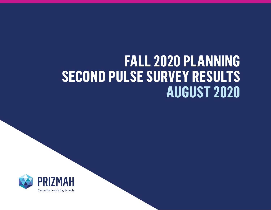## **FALL 2020 PLANNING SECOND PULSE SURVEY RESULTS AUGUST 2020**

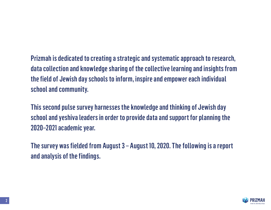Prizmah is dedicated to creating a strategic and systematic approach to research, data collection and knowledge sharing of the collective learning and insights from the field of Jewish day schools to inform, inspire and empower each individual school and community.

This second pulse survey harnesses the knowledge and thinking of Jewish day school and yeshiva leaders in order to provide data and support for planning the 2020–2021 academic year.

The survey was fielded from August 3 – August 10, 2020. The following is a report and analysis of the findings.

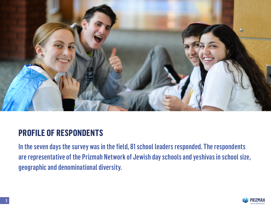

#### **PROFILE OF RESPONDENTS**

In the seven days the survey was in the field, 81 school leaders responded. The respondents are representative of the Prizmah Network of Jewish day schools and yeshivas in school size, geographic and denominational diversity.

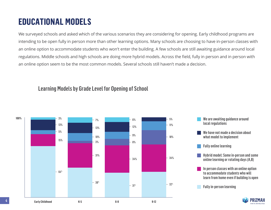#### **EDUCATIONAL MODELS**

We surveyed schools and asked which of the various scenarios they are considering for opening. Early childhood programs are intending to be open fully in person more than other learning options. Many schools are choosing to have in-person classes with an online option to accommodate students who won't enter the building. A few schools are still awaiting guidance around local regulations. Middle schools and high schools are doing more hybrid models. Across the field, fully in person and in person with an online option seem to be the most common models. Several schools still haven't made a decision.

#### Learning Models by Grade Level for Opening of School

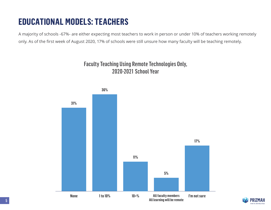### **EDUCATIONAL MODELS: TEACHERS**

A majority of schools -67%- are either expecting most teachers to work in person or under 10% of teachers working remotely only. As of the first week of August 2020, 17% of schools were still unsure how many faculty will be teaching remotely.

#### Faculty Teaching Using Remote Technologies Only, 2020-2021 School Year



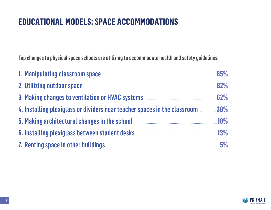#### **EDUCATIONAL MODELS: SPACE ACCOMMODATIONS**

Top changes to physical space schools are utilizing to accommodate health and safety guidelines:

| 1. Manipulating classroom space <b>Manual According to the State of State 35%</b>                                                                                                                                                    |  |
|--------------------------------------------------------------------------------------------------------------------------------------------------------------------------------------------------------------------------------------|--|
| 2. Utilizing outdoor space <b>Manual Excession Contract Contract Contract Contract Contract Contract Contract Contract Contract Contract Contract Contract Contract Contract Contract Contract Contract Contract Contract Contra</b> |  |
| 3. Making changes to ventilation or HVAC systems <b>EXALLE 2018</b> 62%                                                                                                                                                              |  |
| 4. Installing plexiglass or dividers near teacher spaces in the classroom <b>manual 38%</b>                                                                                                                                          |  |
| 5. Making architectural changes in the school <b>Manual Changes</b> in the school <b>Manual</b> Assembly and the school <b>Manual Assembly 18%</b>                                                                                   |  |
| 6. Installing plexiglass between student desks <b>Manufation and Strategie and Strategie and Strategie and Strategie and Strategie and Strategie and Strategie and Strategie and Strategie and Strategie and Strategie and Strat</b> |  |
| 7. Renting space in other buildings <b>Entity of the Strategier of Strategier 3</b> 5%                                                                                                                                               |  |

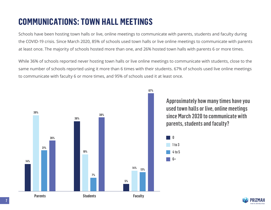### **COMMUNICATIONS: TOWN HALL MEETINGS**

Schools have been hosting town halls or live, online meetings to communicate with parents, students and faculty during the COVID-19 crisis. Since March 2020, 85% of schools used town halls or live online meetings to communicate with parents at least once. The majority of schools hosted more than one, and 26% hosted town halls with parents 6 or more times.

While 36% of schools reported never hosting town halls or live online meetings to communicate with students, close to the same number of schools reported using it more than 6 times with their students. 67% of schools used live online meetings to communicate with faculty 6 or more times, and 95% of schools used it at least once.

**67%**

 $\blacksquare$ 

 $\blacksquare$  1 to 3

 $\blacksquare$  6+

4 to 5



Approximately how many times have you used town halls or live, online meetings since March 2020 to communicate with parents, students and faculty?

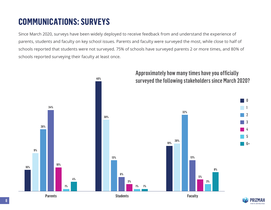### **COMMUNICATIONS: SURVEYS**

Since March 2020, surveys have been widely deployed to receive feedback from and understand the experience of parents, students and faculty on key school issues. Parents and faculty were surveyed the most, while close to half of schools reported that students were not surveyed. 75% of schools have surveyed parents 2 or more times, and 80% of schools reported surveying their faculty at least once.



## Approximately how many times have you officially

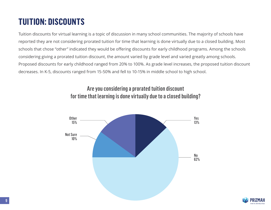### **TUITION: DISCOUNTS**

Tuition discounts for virtual learning is a topic of discussion in many school communities. The majority of schools have reported they are not considering prorated tuition for time that learning is done virtually due to a closed building. Most schools that chose "other" indicated they would be offering discounts for early childhood programs. Among the schools considering giving a prorated tuition discount, the amount varied by grade level and varied greatly among schools. Proposed discounts for early childhood ranged from 20% to 100%. As grade level increases, the proposed tuition discount decreases. In K-5, discounts ranged from 15-50% and fell to 10-15% in middle school to high school.

#### Are you considering a prorated tuition discount for time that learning is done virtually due to a closed building?



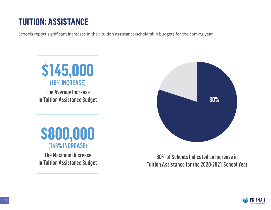### **TUITION: ASSISTANCE**

Schools report significant increases in their tuition assistance/scholarship budgets for the coming year.



The Average Increase in Tuition Assistance Budget

### **\$800,000** (143% INCREASE)

The Maximum Increase in Tuition Assistance Budget



80% of Schools Indicated an Increase in Tuition Assistance for the 2020-2021 School Year

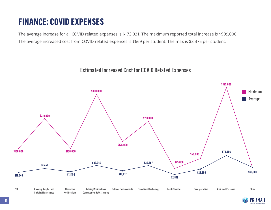### **FINANCE: COVID EXPENSES**

The average increase for all COVID related expenses is \$173,031. The maximum reported total increase is \$909,000. The average increased cost from COVID related expenses is \$669 per student. The max is \$3,375 per student.

#### Estimated Increased Cost for COVID Related Expenses



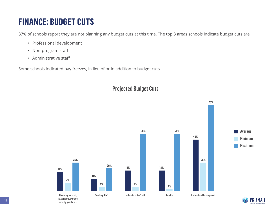### **FINANCE: BUDGET CUTS**

37% of schools report they are not planning any budget cuts at this time. The top 3 areas schools indicate budget cuts are

- Professional development
- Non-program staff
- Administrative staff

Some schools indicated pay freezes, in lieu of or in addition to budget cuts.



#### Projected Budget Cuts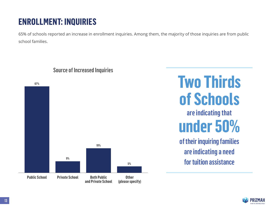### **ENROLLMENT: INQUIRIES**

65% of schools reported an increase in enrollment inquiries. Among them, the majority of those inquiries are from public school families.



#### Source of Increased Inquiries

# **Two Thirds of Schools**

are indicating that **under 50%** 

of their inquiring families are indicating a need for tuition assistance

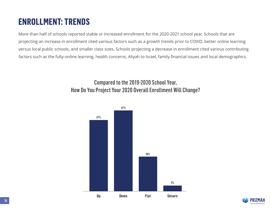### **ENROLLMENT: TRENDS**

More than half of schools reported stable or increased enrollment for the 2020-2021 school year. Schools that are projecting an increase in enrollment cited various factors such as a growth trends prior to COVID, better online learning versus local public schools, and smaller class sizes. Schools projecting a decrease in enrollment cited various contributing factors such as the fully-online learning, health concerns, Aliyah to Israel, family financial issues and local demographics.

#### Compared to the 2019-2020 School Year, How Do You Project Your 2020 Overall Enrollment Will Change?



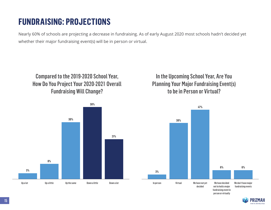#### **FUNDRAISING: PROJECTIONS**

Nearly 60% of schools are projecting a decrease in fundraising. As of early August 2020 most schools hadn't decided yet whether their major fundraising event(s) will be in person or virtual.

#### Compared to the 2019-2020 School Year, How Do You Project Your 2020-2021 Overall Fundraising Will Change?



#### In the Upcoming School Year, Are You Planning Your Major Fundraising Event(s) to be in Person or Virtual?



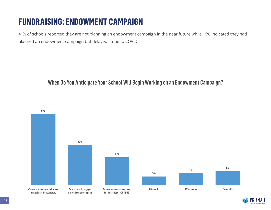### **FUNDRAISING: ENDOWMENT CAMPAIGN**

41% of schools reported they are not planning an endowment campaign in the near future while 16% indicated they had planned an endowment campaign but delayed it due to COVID.

#### When Do You Anticipate Your School Will Begin Working on an Endowment Campaign?